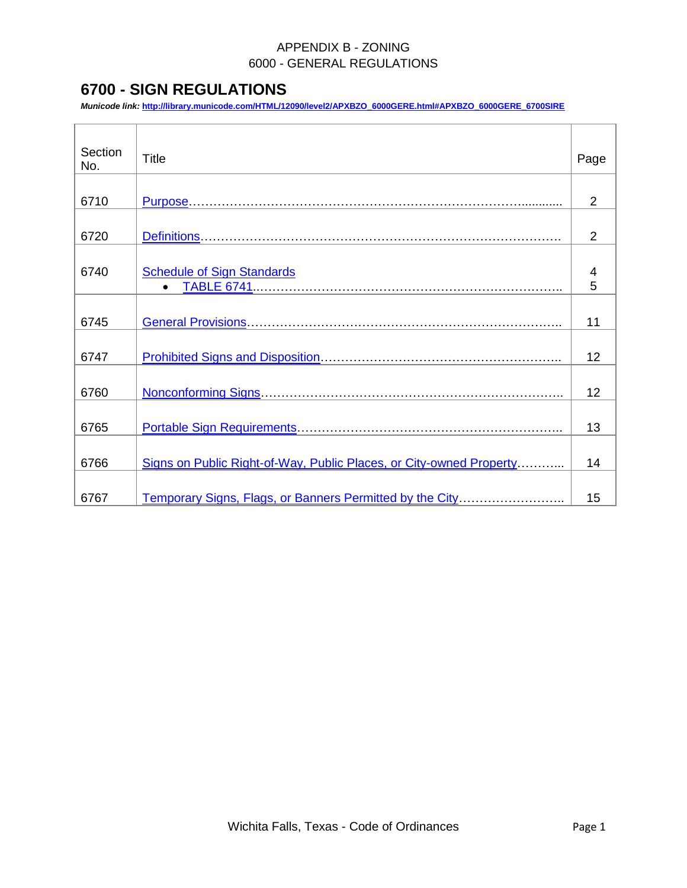# <span id="page-0-1"></span><span id="page-0-0"></span>**6700 - SIGN REGULATIONS**

*Municode link:* **[http://library.municode.com/HTML/12090/level2/APXBZO\\_6000GERE.html#APXBZO\\_6000GERE\\_6700SIRE](http://library.municode.com/HTML/12090/level2/APXBZO_6000GERE.html#APXBZO_6000GERE_6700SIRE)**

| Section<br>No. | <b>Title</b>                                                        | Page           |
|----------------|---------------------------------------------------------------------|----------------|
|                |                                                                     |                |
| 6710           |                                                                     | $\overline{2}$ |
|                |                                                                     |                |
| 6720           |                                                                     | $\overline{2}$ |
|                |                                                                     |                |
| 6740           | <b>Schedule of Sign Standards</b>                                   | 4              |
|                |                                                                     | 5              |
|                |                                                                     |                |
| 6745           |                                                                     | 11             |
|                |                                                                     |                |
| 6747           |                                                                     | 12             |
|                |                                                                     |                |
| 6760           |                                                                     | 12             |
|                |                                                                     |                |
| 6765           |                                                                     | 13             |
|                |                                                                     |                |
| 6766           | Signs on Public Right-of-Way, Public Places, or City-owned Property | 14             |
|                |                                                                     |                |
| 6767           | Temporary Signs, Flags, or Banners Permitted by the City            | 15             |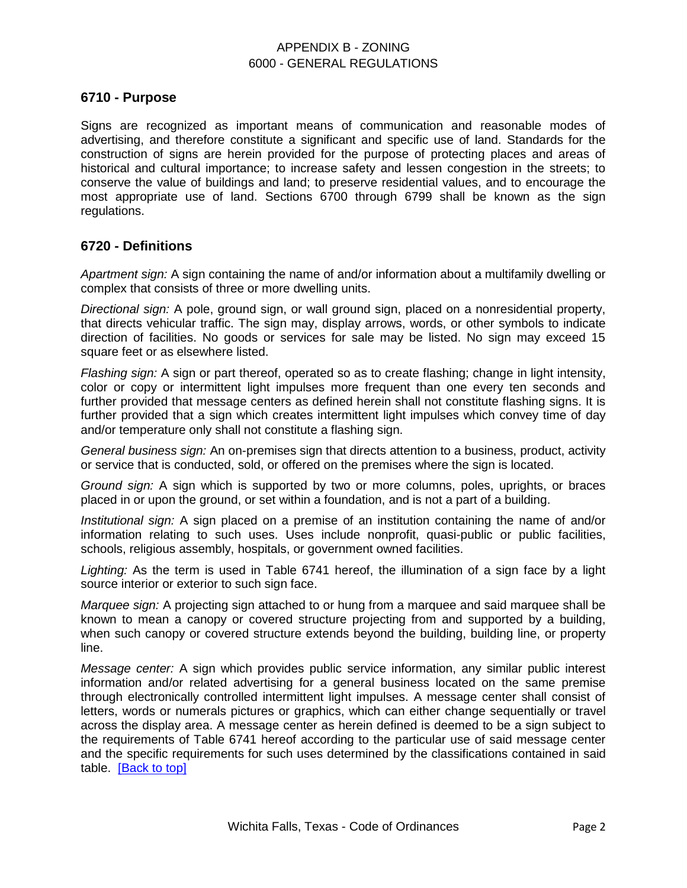### <span id="page-1-0"></span>**6710 - Purpose**

Signs are recognized as important means of communication and reasonable modes of advertising, and therefore constitute a significant and specific use of land. Standards for the construction of signs are herein provided for the purpose of protecting places and areas of historical and cultural importance; to increase safety and lessen congestion in the streets; to conserve the value of buildings and land; to preserve residential values, and to encourage the most appropriate use of land. Sections 6700 through 6799 shall be known as the sign regulations.

### <span id="page-1-1"></span>**6720 - Definitions**

*Apartment sign:* A sign containing the name of and/or information about a multifamily dwelling or complex that consists of three or more dwelling units.

*Directional sign:* A pole, ground sign, or wall ground sign, placed on a nonresidential property, that directs vehicular traffic. The sign may, display arrows, words, or other symbols to indicate direction of facilities. No goods or services for sale may be listed. No sign may exceed 15 square feet or as elsewhere listed.

*Flashing sign:* A sign or part thereof, operated so as to create flashing; change in light intensity, color or copy or intermittent light impulses more frequent than one every ten seconds and further provided that message centers as defined herein shall not constitute flashing signs. It is further provided that a sign which creates intermittent light impulses which convey time of day and/or temperature only shall not constitute a flashing sign.

*General business sign:* An on-premises sign that directs attention to a business, product, activity or service that is conducted, sold, or offered on the premises where the sign is located.

*Ground sign:* A sign which is supported by two or more columns, poles, uprights, or braces placed in or upon the ground, or set within a foundation, and is not a part of a building.

*Institutional sign:* A sign placed on a premise of an institution containing the name of and/or information relating to such uses. Uses include nonprofit, quasi-public or public facilities, schools, religious assembly, hospitals, or government owned facilities.

*Lighting:* As the term is used in Table 6741 hereof, the illumination of a sign face by a light source interior or exterior to such sign face.

*Marquee sign:* A projecting sign attached to or hung from a marquee and said marquee shall be known to mean a canopy or covered structure projecting from and supported by a building, when such canopy or covered structure extends beyond the building, building line, or property line.

*Message center:* A sign which provides public service information, any similar public interest information and/or related advertising for a general business located on the same premise through electronically controlled intermittent light impulses. A message center shall consist of letters, words or numerals pictures or graphics, which can either change sequentially or travel across the display area. A message center as herein defined is deemed to be a sign subject to the requirements of Table 6741 hereof according to the particular use of said message center and the specific requirements for such uses determined by the classifications contained in said table. [\[Back to top\]](#page-0-0)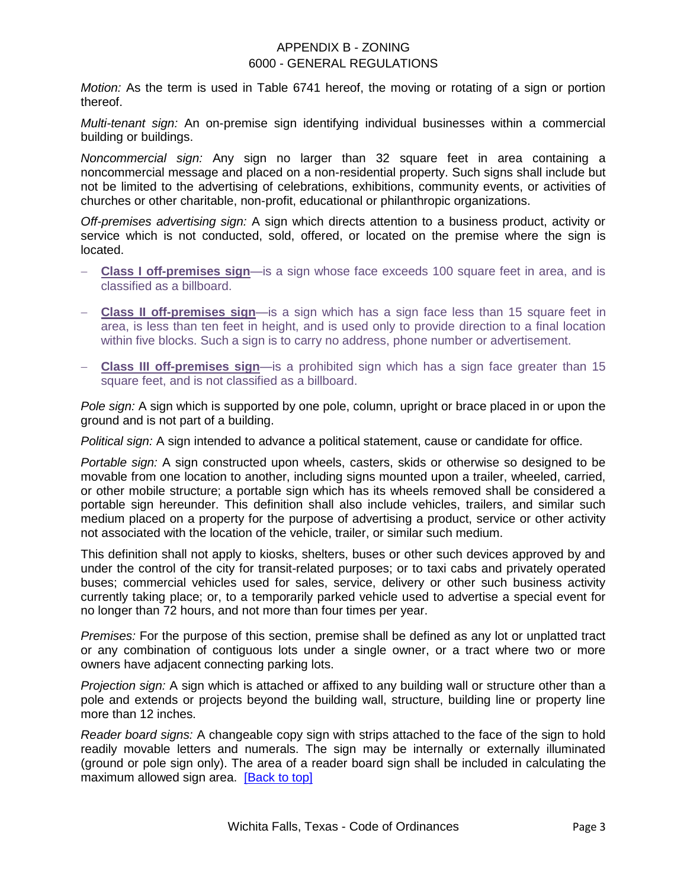*Motion:* As the term is used in Table 6741 hereof, the moving or rotating of a sign or portion thereof.

*Multi-tenant sign:* An on-premise sign identifying individual businesses within a commercial building or buildings.

*Noncommercial sign:* Any sign no larger than 32 square feet in area containing a noncommercial message and placed on a non-residential property. Such signs shall include but not be limited to the advertising of celebrations, exhibitions, community events, or activities of churches or other charitable, non-profit, educational or philanthropic organizations.

*Off-premises advertising sign:* A sign which directs attention to a business product, activity or service which is not conducted, sold, offered, or located on the premise where the sign is located.

- **Class I off-premises sign**—is a sign whose face exceeds 100 square feet in area, and is classified as a billboard.
- **Class II off-premises sign**—is a sign which has a sign face less than 15 square feet in area, is less than ten feet in height, and is used only to provide direction to a final location within five blocks. Such a sign is to carry no address, phone number or advertisement.
- **Class III off-premises sign**—is a prohibited sign which has a sign face greater than 15 square feet, and is not classified as a billboard.

*Pole sign:* A sign which is supported by one pole, column, upright or brace placed in or upon the ground and is not part of a building.

*Political sign:* A sign intended to advance a political statement, cause or candidate for office.

*Portable sign:* A sign constructed upon wheels, casters, skids or otherwise so designed to be movable from one location to another, including signs mounted upon a trailer, wheeled, carried, or other mobile structure; a portable sign which has its wheels removed shall be considered a portable sign hereunder. This definition shall also include vehicles, trailers, and similar such medium placed on a property for the purpose of advertising a product, service or other activity not associated with the location of the vehicle, trailer, or similar such medium.

This definition shall not apply to kiosks, shelters, buses or other such devices approved by and under the control of the city for transit-related purposes; or to taxi cabs and privately operated buses; commercial vehicles used for sales, service, delivery or other such business activity currently taking place; or, to a temporarily parked vehicle used to advertise a special event for no longer than 72 hours, and not more than four times per year.

*Premises:* For the purpose of this section, premise shall be defined as any lot or unplatted tract or any combination of contiguous lots under a single owner, or a tract where two or more owners have adjacent connecting parking lots.

*Projection sign:* A sign which is attached or affixed to any building wall or structure other than a pole and extends or projects beyond the building wall, structure, building line or property line more than 12 inches.

*Reader board signs:* A changeable copy sign with strips attached to the face of the sign to hold readily movable letters and numerals. The sign may be internally or externally illuminated (ground or pole sign only). The area of a reader board sign shall be included in calculating the maximum allowed sign area. [\[Back to top\]](#page-0-0)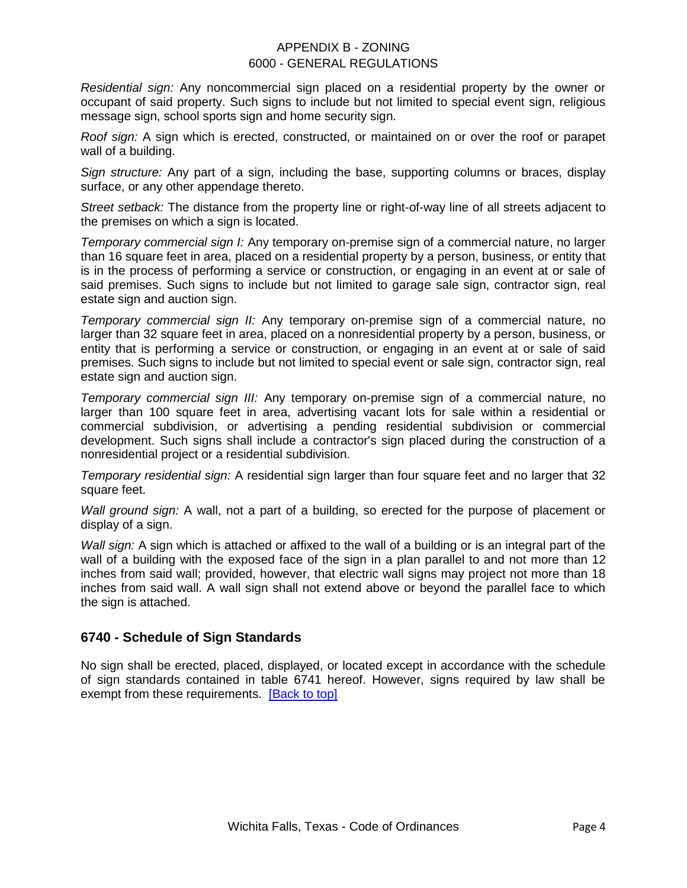*Residential sign:* Any noncommercial sign placed on a residential property by the owner or occupant of said property. Such signs to include but not limited to special event sign, religious message sign, school sports sign and home security sign.

*Roof sign:* A sign which is erected, constructed, or maintained on or over the roof or parapet wall of a building.

*Sign structure:* Any part of a sign, including the base, supporting columns or braces, display surface, or any other appendage thereto.

*Street setback:* The distance from the property line or right-of-way line of all streets adjacent to the premises on which a sign is located.

*Temporary commercial sign I:* Any temporary on-premise sign of a commercial nature, no larger than 16 square feet in area, placed on a residential property by a person, business, or entity that is in the process of performing a service or construction, or engaging in an event at or sale of said premises. Such signs to include but not limited to garage sale sign, contractor sign, real estate sign and auction sign.

*Temporary commercial sign II:* Any temporary on-premise sign of a commercial nature, no larger than 32 square feet in area, placed on a nonresidential property by a person, business, or entity that is performing a service or construction, or engaging in an event at or sale of said premises. Such signs to include but not limited to special event or sale sign, contractor sign, real estate sign and auction sign.

*Temporary commercial sign III:* Any temporary on-premise sign of a commercial nature, no larger than 100 square feet in area, advertising vacant lots for sale within a residential or commercial subdivision, or advertising a pending residential subdivision or commercial development. Such signs shall include a contractor's sign placed during the construction of a nonresidential project or a residential subdivision.

*Temporary residential sign:* A residential sign larger than four square feet and no larger that 32 square feet.

*Wall ground sign:* A wall, not a part of a building, so erected for the purpose of placement or display of a sign.

*Wall sign:* A sign which is attached or affixed to the wall of a building or is an integral part of the wall of a building with the exposed face of the sign in a plan parallel to and not more than 12 inches from said wall; provided, however, that electric wall signs may project not more than 18 inches from said wall. A wall sign shall not extend above or beyond the parallel face to which the sign is attached.

# <span id="page-3-0"></span>**6740 - Schedule of Sign Standards**

No sign shall be erected, placed, displayed, or located except in accordance with the schedule of sign standards contained in table 6741 hereof. However, signs required by law shall be exempt from these requirements. [\[Back to top\]](#page-0-0)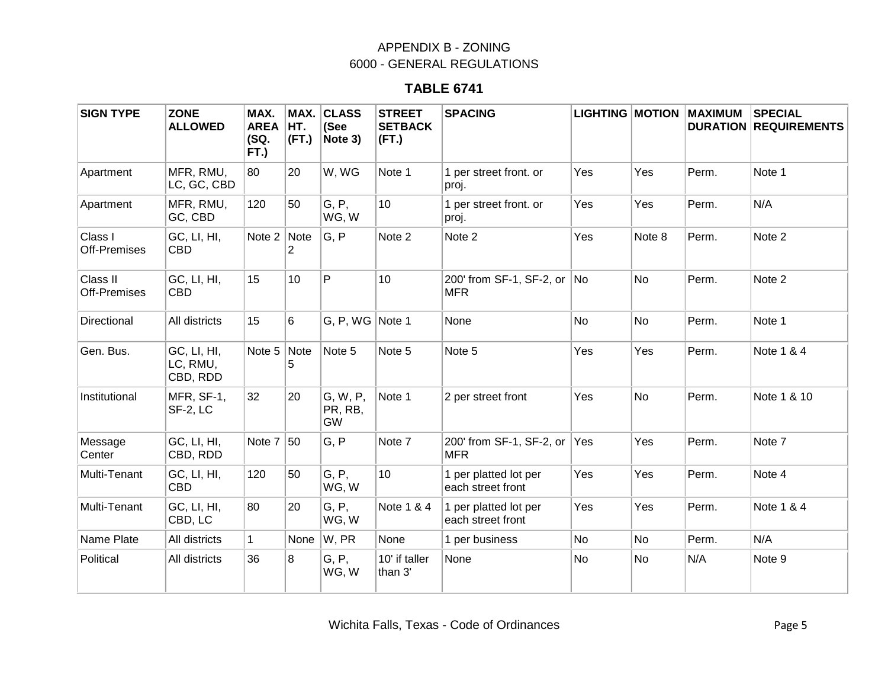# **TABLE 6741**

<span id="page-4-0"></span>

| <b>SIGN TYPE</b>         | <b>ZONE</b><br><b>ALLOWED</b>       | MAX.<br><b>AREA</b><br>(SQ.<br>FT.) | MAX.<br>HT.<br>(FT.)   | <b>CLASS</b><br>(See<br>Note 3)  | <b>STREET</b><br><b>SETBACK</b><br>(FT.) | <b>SPACING</b>                             |           |           | <b>LIGHTING MOTION MAXIMUM</b> | <b>SPECIAL</b><br><b>DURATION REQUIREMENTS</b> |
|--------------------------|-------------------------------------|-------------------------------------|------------------------|----------------------------------|------------------------------------------|--------------------------------------------|-----------|-----------|--------------------------------|------------------------------------------------|
| Apartment                | MFR, RMU,<br>LC, GC, CBD            | 80                                  | 20                     | W, WG                            | Note 1                                   | 1 per street front. or<br>proj.            | Yes       | Yes       | Perm.                          | Note 1                                         |
| Apartment                | MFR, RMU,<br>GC, CBD                | 120                                 | 50                     | G, P,<br>WG, W                   | 10 <sup>1</sup>                          | 1 per street front. or<br>proj.            | Yes       | Yes       | Perm.                          | N/A                                            |
| Class I<br>Off-Premises  | GC, LI, HI,<br><b>CBD</b>           | Note 2                              | Note<br>$\overline{2}$ | G, P                             | Note 2                                   | Note 2                                     | Yes       | Note 8    | Perm.                          | Note 2                                         |
| Class II<br>Off-Premises | GC, LI, HI,<br><b>CBD</b>           | 15                                  | 10                     | P                                | 10                                       | 200' from SF-1, SF-2, or No<br><b>MFR</b>  |           | <b>No</b> | Perm.                          | Note 2                                         |
| Directional              | All districts                       | 15                                  | 6                      | G, P, WG $ $ Note 1              |                                          | None                                       | <b>No</b> | No        | Perm.                          | Note 1                                         |
| Gen. Bus.                | GC, LI, HI,<br>LC, RMU,<br>CBD, RDD | Note $5$ Note                       | 5                      | Note 5                           | Note 5                                   | Note 5                                     | Yes       | Yes       | Perm.                          | Note 1 & 4                                     |
| Institutional            | MFR, SF-1,<br>SF-2, LC              | 32                                  | 20                     | G, W, P,<br>PR, RB,<br><b>GW</b> | Note 1                                   | 2 per street front                         | Yes       | <b>No</b> | Perm.                          | Note 1 & 10                                    |
| Message<br>Center        | GC, LI, HI,<br>CBD, RDD             | Note 7                              | 50                     | G, P                             | Note 7                                   | 200' from SF-1, SF-2, or Yes<br><b>MFR</b> |           | Yes       | Perm.                          | Note 7                                         |
| Multi-Tenant             | GC, LI, HI,<br><b>CBD</b>           | 120                                 | 50                     | G, P,<br>WG, W                   | 10                                       | 1 per platted lot per<br>each street front | Yes       | Yes       | Perm.                          | Note 4                                         |
| Multi-Tenant             | GC, LI, HI,<br>CBD, LC              | 80                                  | 20                     | G, P,<br>WG, W                   | Note 1 & 4                               | 1 per platted lot per<br>each street front | Yes       | Yes       | Perm.                          | Note 1 & 4                                     |
| Name Plate               | All districts                       | $\mathbf{1}$                        | None                   | W, PR                            | None                                     | 1 per business                             | No        | No        | Perm.                          | N/A                                            |
| Political                | All districts                       | 36                                  | 8                      | G, P,<br>WG, W                   | 10' if taller<br>than 3'                 | None                                       | No        | No        | N/A                            | Note 9                                         |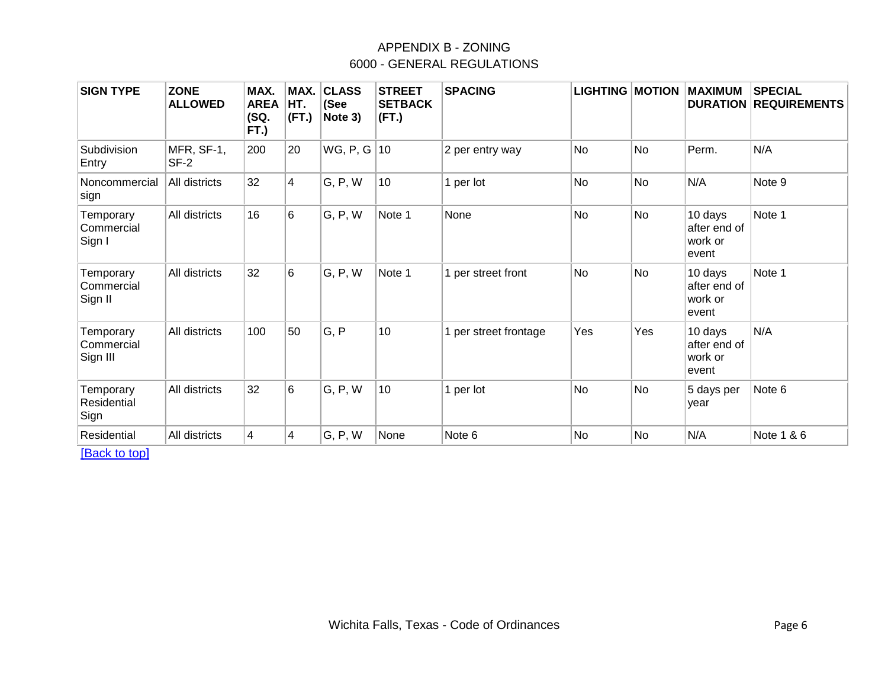| <b>SIGN TYPE</b>                    | <b>ZONE</b><br><b>ALLOWED</b> | MAX.<br><b>AREA</b><br>(SQ.<br>FT.) | MAX.<br>HT.<br>(FT.) | <b>CLASS</b><br>(See<br>Note 3) | <b>STREET</b><br><b>SETBACK</b><br>(FT.) | <b>SPACING</b>        | <b>LIGHTING MOTION</b> |           | <b>MAXIMUM</b>                              | <b>SPECIAL</b><br><b>DURATION REQUIREMENTS</b> |
|-------------------------------------|-------------------------------|-------------------------------------|----------------------|---------------------------------|------------------------------------------|-----------------------|------------------------|-----------|---------------------------------------------|------------------------------------------------|
| Subdivision<br>Entry                | MFR, SF-1,<br>SF-2            | 200                                 | 20                   | WG, P, G $ 10 $                 |                                          | 2 per entry way       | No                     | No        | Perm.                                       | N/A                                            |
| Noncommercial<br>sign               | All districts                 | 32                                  | 4                    | G, P, W                         | 10                                       | 1 per lot             | No                     | <b>No</b> | N/A                                         | Note 9                                         |
| Temporary<br>Commercial<br>Sign I   | All districts                 | 16                                  | 6                    | G, P, W                         | Note 1                                   | None                  | <b>No</b>              | No        | 10 days<br>after end of<br>work or<br>event | Note 1                                         |
| Temporary<br>Commercial<br>Sign II  | All districts                 | 32                                  | 6                    | G, P, W                         | Note 1                                   | 1 per street front    | <b>No</b>              | <b>No</b> | 10 days<br>after end of<br>work or<br>event | Note 1                                         |
| Temporary<br>Commercial<br>Sign III | All districts                 | 100                                 | 50                   | G, P                            | 10                                       | 1 per street frontage | Yes                    | Yes       | 10 days<br>after end of<br>work or<br>event | N/A                                            |
| Temporary<br>Residential<br>Sign    | All districts                 | 32                                  | 6                    | G, P, W                         | 10                                       | 1 per lot             | <b>No</b>              | <b>No</b> | 5 days per<br>year                          | Note 6                                         |
| Residential                         | All districts                 | $\overline{4}$                      | 4                    | G, P, W                         | None                                     | Note 6                | No                     | <b>No</b> | N/A                                         | Note 1 & 6                                     |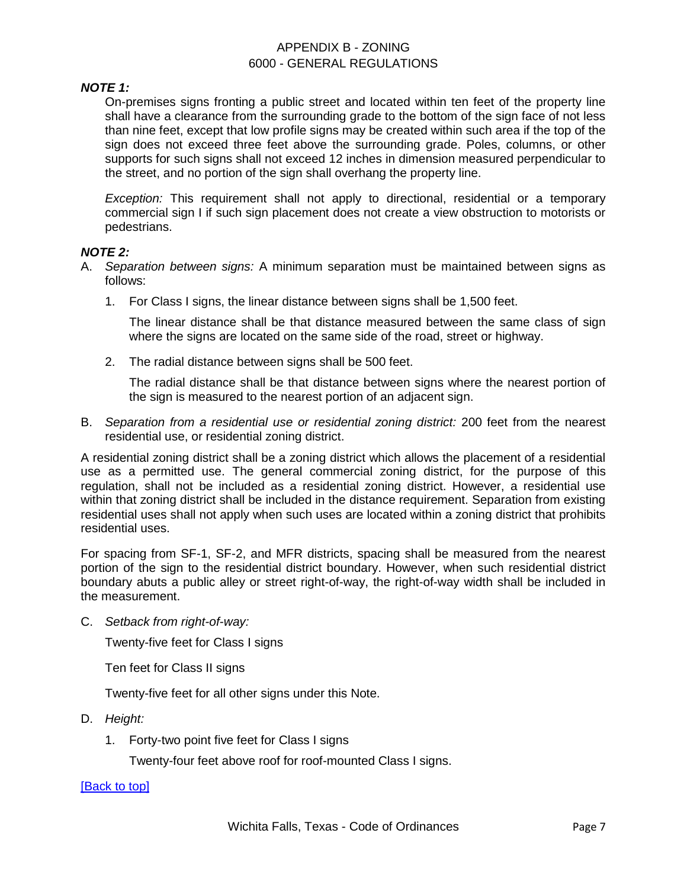### *NOTE 1:*

On-premises signs fronting a public street and located within ten feet of the property line shall have a clearance from the surrounding grade to the bottom of the sign face of not less than nine feet, except that low profile signs may be created within such area if the top of the sign does not exceed three feet above the surrounding grade. Poles, columns, or other supports for such signs shall not exceed 12 inches in dimension measured perpendicular to the street, and no portion of the sign shall overhang the property line.

*Exception:* This requirement shall not apply to directional, residential or a temporary commercial sign I if such sign placement does not create a view obstruction to motorists or pedestrians.

### *NOTE 2:*

- A. *Separation between signs:* A minimum separation must be maintained between signs as follows:
	- 1. For Class I signs, the linear distance between signs shall be 1,500 feet.

The linear distance shall be that distance measured between the same class of sign where the signs are located on the same side of the road, street or highway.

2. The radial distance between signs shall be 500 feet.

The radial distance shall be that distance between signs where the nearest portion of the sign is measured to the nearest portion of an adjacent sign.

B. *Separation from a residential use or residential zoning district:* 200 feet from the nearest residential use, or residential zoning district.

A residential zoning district shall be a zoning district which allows the placement of a residential use as a permitted use. The general commercial zoning district, for the purpose of this regulation, shall not be included as a residential zoning district. However, a residential use within that zoning district shall be included in the distance requirement. Separation from existing residential uses shall not apply when such uses are located within a zoning district that prohibits residential uses.

For spacing from SF-1, SF-2, and MFR districts, spacing shall be measured from the nearest portion of the sign to the residential district boundary. However, when such residential district boundary abuts a public alley or street right-of-way, the right-of-way width shall be included in the measurement.

C. *Setback from right-of-way:*

Twenty-five feet for Class I signs

Ten feet for Class II signs

Twenty-five feet for all other signs under this Note.

- D. *Height:*
	- 1. Forty-two point five feet for Class I signs

Twenty-four feet above roof for roof-mounted Class I signs.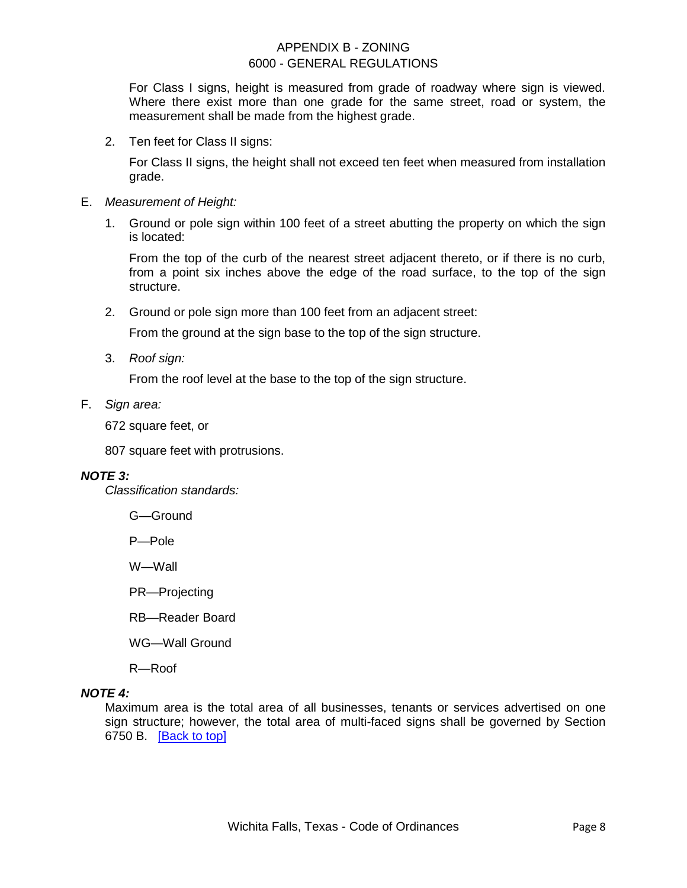For Class I signs, height is measured from grade of roadway where sign is viewed. Where there exist more than one grade for the same street, road or system, the measurement shall be made from the highest grade.

2. Ten feet for Class II signs:

For Class II signs, the height shall not exceed ten feet when measured from installation grade.

- E. *Measurement of Height:*
	- 1. Ground or pole sign within 100 feet of a street abutting the property on which the sign is located:

From the top of the curb of the nearest street adjacent thereto, or if there is no curb, from a point six inches above the edge of the road surface, to the top of the sign structure.

2. Ground or pole sign more than 100 feet from an adjacent street:

From the ground at the sign base to the top of the sign structure.

3. *Roof sign:*

From the roof level at the base to the top of the sign structure.

F. *Sign area:*

672 square feet, or

807 square feet with protrusions.

### *NOTE 3:*

*Classification standards:*

G—Ground

P—Pole

W—Wall

PR—Projecting

RB—Reader Board

WG—Wall Ground

R—Roof

#### *NOTE 4:*

Maximum area is the total area of all businesses, tenants or services advertised on one sign structure; however, the total area of multi-faced signs shall be governed by Section 6750 B. [\[Back to top\]](#page-0-0)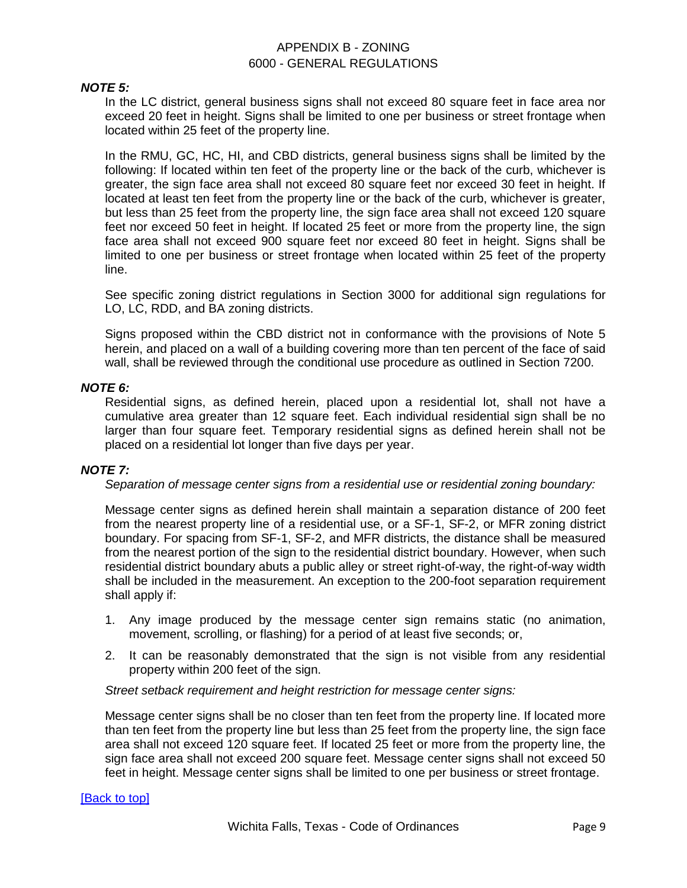#### *NOTE 5:*

In the LC district, general business signs shall not exceed 80 square feet in face area nor exceed 20 feet in height. Signs shall be limited to one per business or street frontage when located within 25 feet of the property line.

In the RMU, GC, HC, HI, and CBD districts, general business signs shall be limited by the following: If located within ten feet of the property line or the back of the curb, whichever is greater, the sign face area shall not exceed 80 square feet nor exceed 30 feet in height. If located at least ten feet from the property line or the back of the curb, whichever is greater, but less than 25 feet from the property line, the sign face area shall not exceed 120 square feet nor exceed 50 feet in height. If located 25 feet or more from the property line, the sign face area shall not exceed 900 square feet nor exceed 80 feet in height. Signs shall be limited to one per business or street frontage when located within 25 feet of the property line.

See specific zoning district regulations in Section 3000 for additional sign regulations for LO, LC, RDD, and BA zoning districts.

Signs proposed within the CBD district not in conformance with the provisions of Note 5 herein, and placed on a wall of a building covering more than ten percent of the face of said wall, shall be reviewed through the conditional use procedure as outlined in Section 7200.

### *NOTE 6:*

Residential signs, as defined herein, placed upon a residential lot, shall not have a cumulative area greater than 12 square feet. Each individual residential sign shall be no larger than four square feet. Temporary residential signs as defined herein shall not be placed on a residential lot longer than five days per year.

#### *NOTE 7:*

*Separation of message center signs from a residential use or residential zoning boundary:*

Message center signs as defined herein shall maintain a separation distance of 200 feet from the nearest property line of a residential use, or a SF-1, SF-2, or MFR zoning district boundary. For spacing from SF-1, SF-2, and MFR districts, the distance shall be measured from the nearest portion of the sign to the residential district boundary. However, when such residential district boundary abuts a public alley or street right-of-way, the right-of-way width shall be included in the measurement. An exception to the 200-foot separation requirement shall apply if:

- 1. Any image produced by the message center sign remains static (no animation, movement, scrolling, or flashing) for a period of at least five seconds; or,
- 2. It can be reasonably demonstrated that the sign is not visible from any residential property within 200 feet of the sign.

#### *Street setback requirement and height restriction for message center signs:*

Message center signs shall be no closer than ten feet from the property line. If located more than ten feet from the property line but less than 25 feet from the property line, the sign face area shall not exceed 120 square feet. If located 25 feet or more from the property line, the sign face area shall not exceed 200 square feet. Message center signs shall not exceed 50 feet in height. Message center signs shall be limited to one per business or street frontage.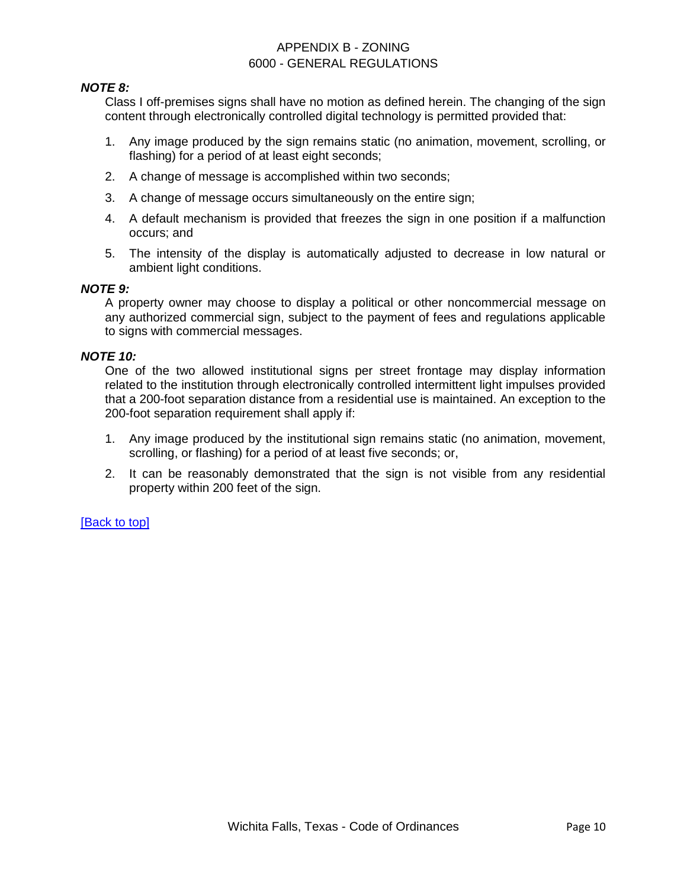### *NOTE 8:*

Class I off-premises signs shall have no motion as defined herein. The changing of the sign content through electronically controlled digital technology is permitted provided that:

- 1. Any image produced by the sign remains static (no animation, movement, scrolling, or flashing) for a period of at least eight seconds;
- 2. A change of message is accomplished within two seconds;
- 3. A change of message occurs simultaneously on the entire sign;
- 4. A default mechanism is provided that freezes the sign in one position if a malfunction occurs; and
- 5. The intensity of the display is automatically adjusted to decrease in low natural or ambient light conditions.

#### *NOTE 9:*

A property owner may choose to display a political or other noncommercial message on any authorized commercial sign, subject to the payment of fees and regulations applicable to signs with commercial messages.

#### *NOTE 10:*

One of the two allowed institutional signs per street frontage may display information related to the institution through electronically controlled intermittent light impulses provided that a 200-foot separation distance from a residential use is maintained. An exception to the 200-foot separation requirement shall apply if:

- 1. Any image produced by the institutional sign remains static (no animation, movement, scrolling, or flashing) for a period of at least five seconds; or,
- <span id="page-9-0"></span>2. It can be reasonably demonstrated that the sign is not visible from any residential property within 200 feet of the sign.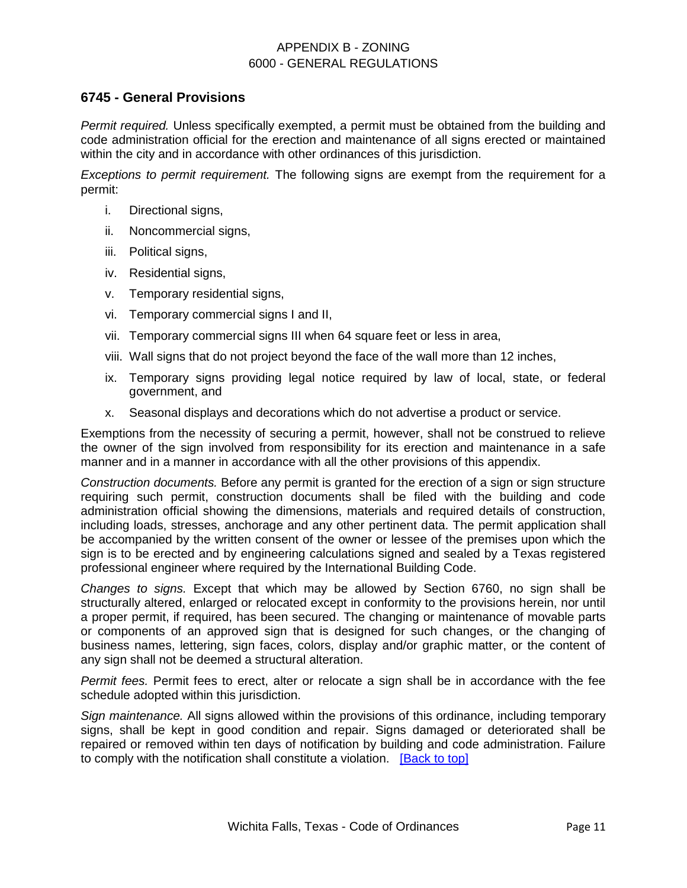### **6745 - General Provisions**

*Permit required.* Unless specifically exempted, a permit must be obtained from the building and code administration official for the erection and maintenance of all signs erected or maintained within the city and in accordance with other ordinances of this jurisdiction.

*Exceptions to permit requirement.* The following signs are exempt from the requirement for a permit:

- i. Directional signs,
- ii. Noncommercial signs,
- iii. Political signs,
- iv. Residential signs,
- v. Temporary residential signs,
- vi. Temporary commercial signs I and II,
- vii. Temporary commercial signs III when 64 square feet or less in area,
- viii. Wall signs that do not project beyond the face of the wall more than 12 inches,
- ix. Temporary signs providing legal notice required by law of local, state, or federal government, and
- x. Seasonal displays and decorations which do not advertise a product or service.

Exemptions from the necessity of securing a permit, however, shall not be construed to relieve the owner of the sign involved from responsibility for its erection and maintenance in a safe manner and in a manner in accordance with all the other provisions of this appendix.

*Construction documents.* Before any permit is granted for the erection of a sign or sign structure requiring such permit, construction documents shall be filed with the building and code administration official showing the dimensions, materials and required details of construction, including loads, stresses, anchorage and any other pertinent data. The permit application shall be accompanied by the written consent of the owner or lessee of the premises upon which the sign is to be erected and by engineering calculations signed and sealed by a Texas registered professional engineer where required by the International Building Code.

*Changes to signs.* Except that which may be allowed by Section 6760, no sign shall be structurally altered, enlarged or relocated except in conformity to the provisions herein, nor until a proper permit, if required, has been secured. The changing or maintenance of movable parts or components of an approved sign that is designed for such changes, or the changing of business names, lettering, sign faces, colors, display and/or graphic matter, or the content of any sign shall not be deemed a structural alteration.

*Permit fees.* Permit fees to erect, alter or relocate a sign shall be in accordance with the fee schedule adopted within this jurisdiction.

*Sign maintenance.* All signs allowed within the provisions of this ordinance, including temporary signs, shall be kept in good condition and repair. Signs damaged or deteriorated shall be repaired or removed within ten days of notification by building and code administration. Failure to comply with the notification shall constitute a violation. [\[Back to top\]](#page-0-0)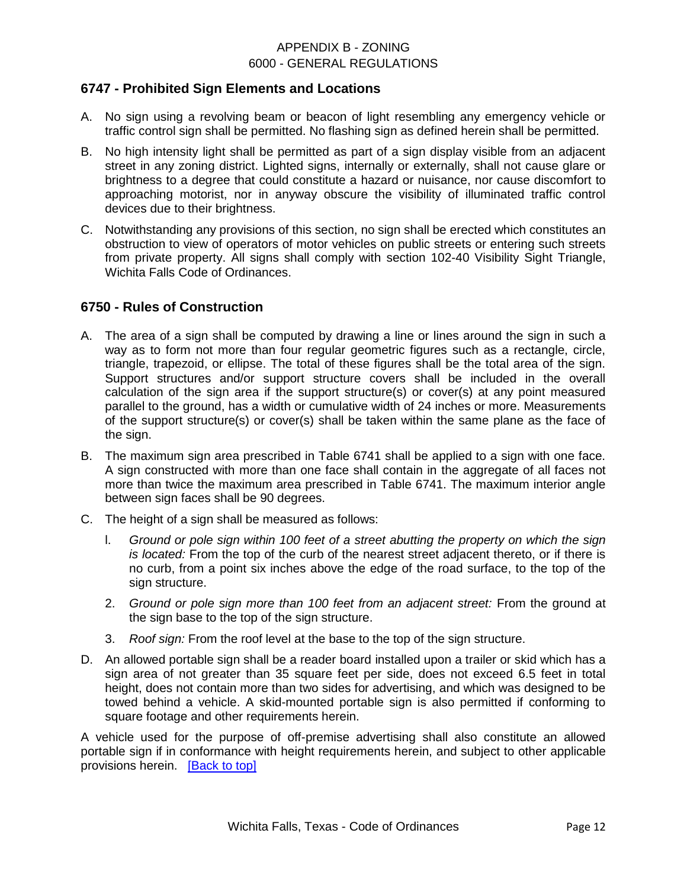### **6747 - Prohibited Sign Elements and Locations**

- A. No sign using a revolving beam or beacon of light resembling any emergency vehicle or traffic control sign shall be permitted. No flashing sign as defined herein shall be permitted.
- B. No high intensity light shall be permitted as part of a sign display visible from an adjacent street in any zoning district. Lighted signs, internally or externally, shall not cause glare or brightness to a degree that could constitute a hazard or nuisance, nor cause discomfort to approaching motorist, nor in anyway obscure the visibility of illuminated traffic control devices due to their brightness.
- C. Notwithstanding any provisions of this section, no sign shall be erected which constitutes an obstruction to view of operators of motor vehicles on public streets or entering such streets from private property. All signs shall comply with section 102-40 Visibility Sight Triangle, Wichita Falls Code of Ordinances.

### **6750 - Rules of Construction**

- A. The area of a sign shall be computed by drawing a line or lines around the sign in such a way as to form not more than four regular geometric figures such as a rectangle, circle, triangle, trapezoid, or ellipse. The total of these figures shall be the total area of the sign. Support structures and/or support structure covers shall be included in the overall calculation of the sign area if the support structure(s) or cover(s) at any point measured parallel to the ground, has a width or cumulative width of 24 inches or more. Measurements of the support structure(s) or cover(s) shall be taken within the same plane as the face of the sign.
- B. The maximum sign area prescribed in Table 6741 shall be applied to a sign with one face. A sign constructed with more than one face shall contain in the aggregate of all faces not more than twice the maximum area prescribed in Table 6741. The maximum interior angle between sign faces shall be 90 degrees.
- C. The height of a sign shall be measured as follows:
	- l. *Ground or pole sign within 100 feet of a street abutting the property on which the sign is located:* From the top of the curb of the nearest street adjacent thereto, or if there is no curb, from a point six inches above the edge of the road surface, to the top of the sign structure.
	- 2. *Ground or pole sign more than 100 feet from an adjacent street:* From the ground at the sign base to the top of the sign structure.
	- 3. *Roof sign:* From the roof level at the base to the top of the sign structure.
- D. An allowed portable sign shall be a reader board installed upon a trailer or skid which has a sign area of not greater than 35 square feet per side, does not exceed 6.5 feet in total height, does not contain more than two sides for advertising, and which was designed to be towed behind a vehicle. A skid-mounted portable sign is also permitted if conforming to square footage and other requirements herein.

A vehicle used for the purpose of off-premise advertising shall also constitute an allowed portable sign if in conformance with height requirements herein, and subject to other applicable provisions herein. [\[Back to top\]](#page-0-0)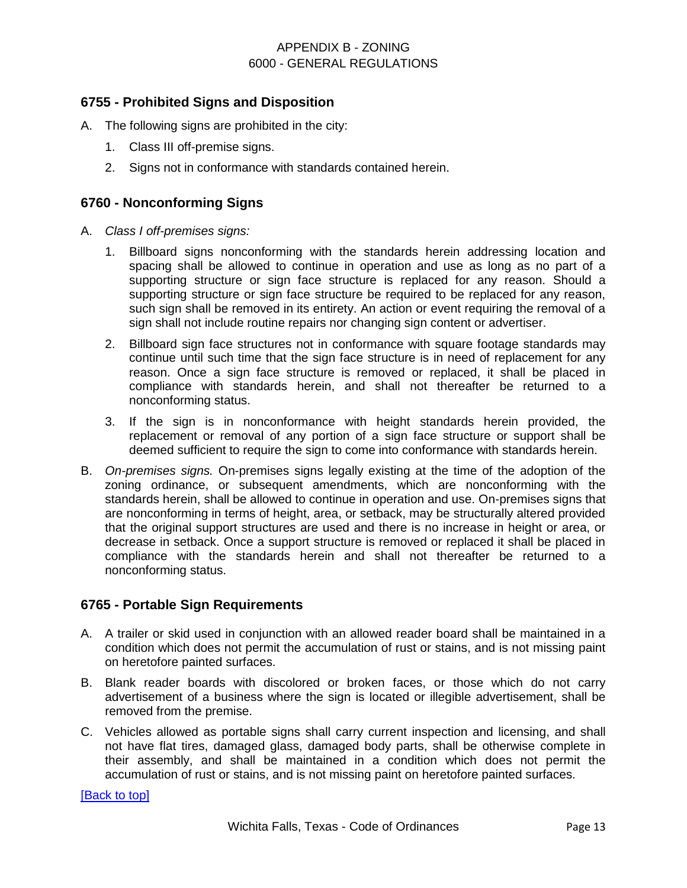### <span id="page-12-0"></span>**6755 - Prohibited Signs and Disposition**

- A. The following signs are prohibited in the city:
	- 1. Class III off-premise signs.
	- 2. Signs not in conformance with standards contained herein.

### <span id="page-12-1"></span>**6760 - Nonconforming Signs**

- A. *Class I off-premises signs:*
	- 1. Billboard signs nonconforming with the standards herein addressing location and spacing shall be allowed to continue in operation and use as long as no part of a supporting structure or sign face structure is replaced for any reason. Should a supporting structure or sign face structure be required to be replaced for any reason, such sign shall be removed in its entirety. An action or event requiring the removal of a sign shall not include routine repairs nor changing sign content or advertiser.
	- 2. Billboard sign face structures not in conformance with square footage standards may continue until such time that the sign face structure is in need of replacement for any reason. Once a sign face structure is removed or replaced, it shall be placed in compliance with standards herein, and shall not thereafter be returned to a nonconforming status.
	- 3. If the sign is in nonconformance with height standards herein provided, the replacement or removal of any portion of a sign face structure or support shall be deemed sufficient to require the sign to come into conformance with standards herein.
- B. *On-premises signs.* On-premises signs legally existing at the time of the adoption of the zoning ordinance, or subsequent amendments, which are nonconforming with the standards herein, shall be allowed to continue in operation and use. On-premises signs that are nonconforming in terms of height, area, or setback, may be structurally altered provided that the original support structures are used and there is no increase in height or area, or decrease in setback. Once a support structure is removed or replaced it shall be placed in compliance with the standards herein and shall not thereafter be returned to a nonconforming status.

# <span id="page-12-2"></span>**6765 - Portable Sign Requirements**

- A. A trailer or skid used in conjunction with an allowed reader board shall be maintained in a condition which does not permit the accumulation of rust or stains, and is not missing paint on heretofore painted surfaces.
- B. Blank reader boards with discolored or broken faces, or those which do not carry advertisement of a business where the sign is located or illegible advertisement, shall be removed from the premise.
- C. Vehicles allowed as portable signs shall carry current inspection and licensing, and shall not have flat tires, damaged glass, damaged body parts, shall be otherwise complete in their assembly, and shall be maintained in a condition which does not permit the accumulation of rust or stains, and is not missing paint on heretofore painted surfaces.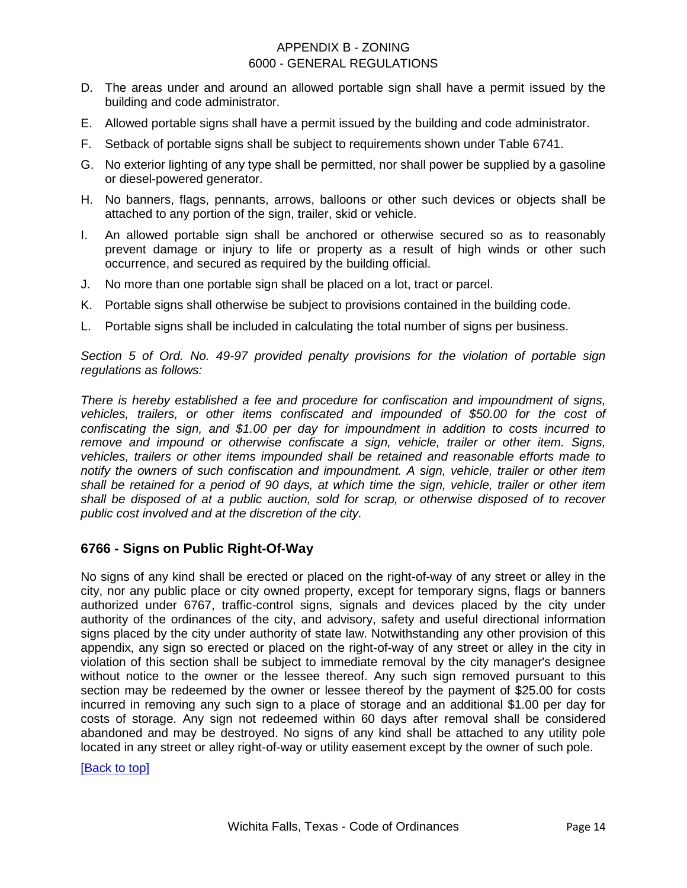- D. The areas under and around an allowed portable sign shall have a permit issued by the building and code administrator.
- E. Allowed portable signs shall have a permit issued by the building and code administrator.
- F. Setback of portable signs shall be subject to requirements shown under Table 6741.
- G. No exterior lighting of any type shall be permitted, nor shall power be supplied by a gasoline or diesel-powered generator.
- H. No banners, flags, pennants, arrows, balloons or other such devices or objects shall be attached to any portion of the sign, trailer, skid or vehicle.
- I. An allowed portable sign shall be anchored or otherwise secured so as to reasonably prevent damage or injury to life or property as a result of high winds or other such occurrence, and secured as required by the building official.
- J. No more than one portable sign shall be placed on a lot, tract or parcel.
- K. Portable signs shall otherwise be subject to provisions contained in the building code.
- L. Portable signs shall be included in calculating the total number of signs per business.

*Section 5 of Ord. No. 49-97 provided penalty provisions for the violation of portable sign regulations as follows:* 

*There is hereby established a fee and procedure for confiscation and impoundment of signs, vehicles, trailers, or other items confiscated and impounded of \$50.00 for the cost of confiscating the sign, and \$1.00 per day for impoundment in addition to costs incurred to remove and impound or otherwise confiscate a sign, vehicle, trailer or other item. Signs, vehicles, trailers or other items impounded shall be retained and reasonable efforts made to notify the owners of such confiscation and impoundment. A sign, vehicle, trailer or other item shall be retained for a period of 90 days, at which time the sign, vehicle, trailer or other item shall be disposed of at a public auction, sold for scrap, or otherwise disposed of to recover public cost involved and at the discretion of the city.* 

# <span id="page-13-0"></span>**6766 - Signs on Public Right-Of-Way**

No signs of any kind shall be erected or placed on the right-of-way of any street or alley in the city, nor any public place or city owned property, except for temporary signs, flags or banners authorized under 6767, traffic-control signs, signals and devices placed by the city under authority of the ordinances of the city, and advisory, safety and useful directional information signs placed by the city under authority of state law. Notwithstanding any other provision of this appendix, any sign so erected or placed on the right-of-way of any street or alley in the city in violation of this section shall be subject to immediate removal by the city manager's designee without notice to the owner or the lessee thereof. Any such sign removed pursuant to this section may be redeemed by the owner or lessee thereof by the payment of \$25.00 for costs incurred in removing any such sign to a place of storage and an additional \$1.00 per day for costs of storage. Any sign not redeemed within 60 days after removal shall be considered abandoned and may be destroyed. No signs of any kind shall be attached to any utility pole located in any street or alley right-of-way or utility easement except by the owner of such pole.